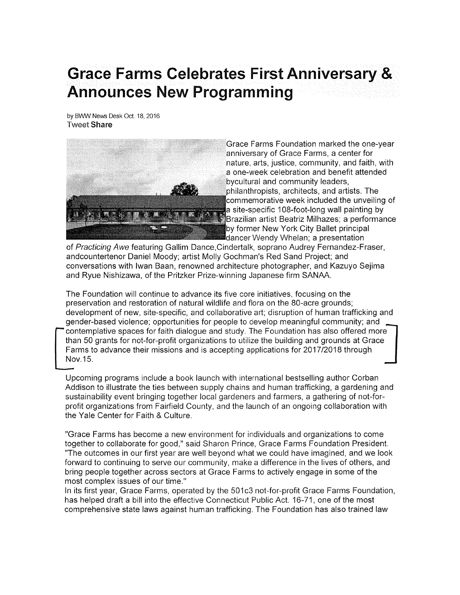## Grace Farms Celebrates First Anniversary & **Announces New Programming**

by BWW News Desk Oct. 18, 2016 **Tweet Share** 



Grace Farms Foundation marked the one-year .anniversary of Grace Farms, a center for nature, arts, justice, community, and faith, with a one-week celebration and benefit attended bycultural and community leaders, philanthropists, architects, and artists. The commemorative week included the unveiling of a site-specific 108-foot-long wall painting by Brazilian artist Beatriz Milhazes; a performance by former New York City Ballet principal dancer Wendy Whelan; a presentation

of Practicing Awe featuring Gallim Dance,Cindertalk, soprano Audrey Fernandez-Fraser, andcounterlenor Daniel Moody; artist Molly Gochman's Red Sand Project; and conversations with lwan Baan, renowned architecture photographer, and Kazuyo Sejima and Ryue Nishizawa, of the Pritzker Prize-winning Japanese firm SANAA.

The Foundation will continue to advance its five core initiatives, focusing on the preservation and restoration of natural wildlife and flora on the 8O-acre grounds; development of new, site-specific, and collaborative aft; disruption of human trafficking and gender-based violence; oppoftunities for people to develop meaningful community; and contemplative spaces for faith dialogue and study. The Foundation has also offered more than 50 grants for not-for-profit organizations to utilize the building and grounds at Grace Farms to advance their missions and is accepting applications for 2017/2018 through  $\blacksquare$ Nov.15.

Upcoming programs include a book launch with international bestselling author Corban Addison to illustrate the ties between supply chains and human trafficking, a gardening and sustainability event bringing together local gardeners and farmers, a gathering of not-forprofit organizations from Fairfield County, and the launch of an ongoing collaboration with the Yale Center for Faith & Culture.

"Grace Farms has become a new environment for individuals and organizations to come together to collaborate for good," said Sharon Prince, Grace Farms Foundation President. "The outcomes in our first year are well beyond what we could have imagined, and we look forward to continuing to serve our community, make a difference in the lives of others, and bring people together across sectors at Grace Farms to actively engage in some of the most complex issues of our time."

ln its first year, Grace Farms, operated by the 501c3 not-for-profit Grace Farms Foundation, has helped draft a bill into the effective Connecticut Public Act. 16-71, one of the most comprehensive state laws against human trafficking. The Foundation has also trained law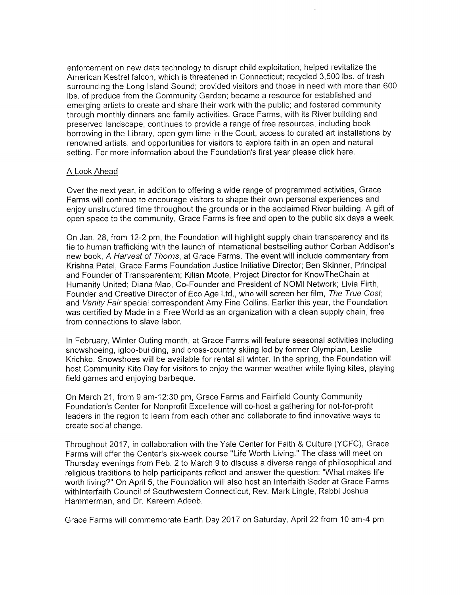enforcement on new data technology to disrupt child exploitation; helped revitalize the American Kestrelfalcon, which is threatened in Connecticut; recycled 3,500 lbs. of trash surrounding the Long lsland Sound; provided visitors and those in need with more than <sup>600</sup> lbs. of produce from the Community Garden; became a resource for established and emerging aftists to create and share their work with the public; and fostered community through monthly dinners and family activities. Grace Farms, with its River building and preserved landscape, continues to provide a range of free resources, including book borrowing in the Library, open gym time in the Court, access to curated art installations by renowned artists, and opportunities for visitors to explore faith in an open and natural setting. For more information about the Foundation's first year please click here.

## A Look Ahead

Over the next year, in addition to offering a wide range of programmed activities, Grace Farms will continue to encourage visitors to shape their own personal experiences and enjoy unstructured time throughout the grounds or in the acclaimed River building. A gift of open space to the community, Grace Farms is free and open to the public six days a week.

On Jan. 28, from 12-2 pm, the Foundation will highlight supply chain transparency and its tie to human trafficking with the launch of international bestselling author Corban Addison's new book, A Harvest of Thorns, at Grace Farms. The event will include commentary from Krishna Patel, Grace Farms Foundation Justice lnitiative Director; Ben Skinner, Principal and Founder of Transparentem; Kilian Moote, Project Director for KnowTheChain at Humanity United; Diana Mao, Co-Founder and President of NOMI Network; Livia Firth, Founder and Creative Director of Eco Age Ltd., who will screen her film, The True Cost; and Vanity Fair special correspondent Amy Fine Collins. Earlier this year, the Foundation was certified by Made in a Free World as an organization with a clean supply chain, free from connections to slave labor.

ln February, Winter Outing month, at Grace Farms will feature seasonal activities including snowshoeing, igloo-building, and cross-country skiing led by former Olympian, Leslie Krichko. Snowshoes will be available for rental all winter. ln the spring, the Foundation will host Community Kite Day for visitors to enjoy the warmer weather while flying kites, playing field games and enjoying barbeque.

On March 21 , from 9 am-12.30 pm, Grace Farms and Fairfield County Community Foundation's Center for Nonprofit Excellence will co-host a gathering for not-for-profit leaders in the region to learn from each other and collaborate to find innovative ways to create social change.

Throughout <sup>2017</sup>, in collaboration with the Yale Center for Faith & Culture (YCFC), Grace Farms will offer the Center's six-week course "Life Worth Living." The class will meet on Thursday evenings from Feb. 2 to March 9 to discuss a diverse range of philosophical and religious traditions to help participants reflect and answer the question: "What makes life worth living?" On April 5, the Foundation will also host an lnterfaith Seder at Grace Farms withlnterfaith Council of Southwestern Connecticut, Rev. Mark Lingle, Rabbi Joshua Hammerman, and Dr. Kareem Adeeb.

Grace Farms will commemorate Earth Day 2017 on Saturday, April22 from 10 am-4 pm